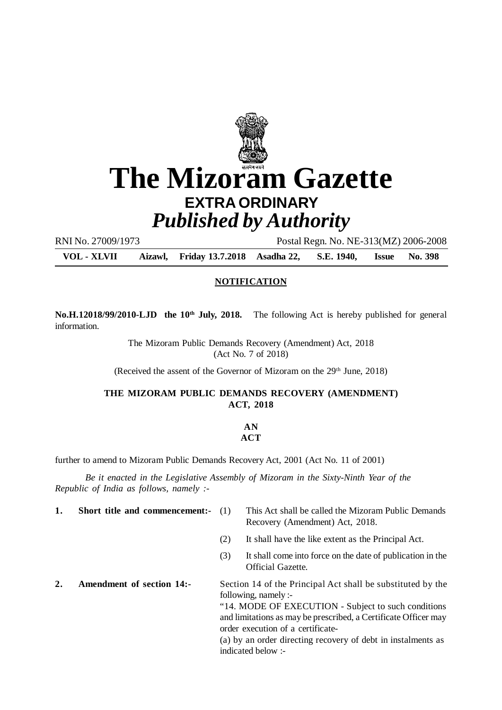

# **The Mizoram Gazette EXTRA ORDINARY** *Published by Authority*

RNI No. 27009/1973 Postal Regn. No. NE-313(MZ) 2006-2008

**VOL - XLVII Aizawl, Friday 13.7.2018 Asadha 22, S.E. 1940, Issue No. 398**

#### **NOTIFICATION**

**No.H.12018/99/2010-LJD the 10th July, 2018.** The following Act is hereby published for general information.

> The Mizoram Public Demands Recovery (Amendment) Act, 2018 (Act No. 7 of 2018)

(Received the assent of the Governor of Mizoram on the  $29<sup>th</sup>$  June,  $2018$ )

## **THE MIZORAM PUBLIC DEMANDS RECOVERY (AMENDMENT) ACT, 2018**

## **AN**

## **ACT**

further to amend to Mizoram Public Demands Recovery Act, 2001 (Act No. 11 of 2001)

*Be it enacted in the Legislative Assembly of Mizoram in the Sixty-Ninth Year of the Republic of India as follows, namely :-*

- 
- **1.** Short title and commencement:- (1) This Act shall be called the Mizoram Public Demands Recovery (Amendment) Act, 2018.
	- (2) It shall have the like extent as the Principal Act.
	- (3) It shall come into force on the date of publication in the Official Gazette.
- **2. Amendment of section 14:-** Section 14 of the Principal Act shall be substituted by the following, namely :-

"14. MODE OF EXECUTION - Subject to such conditions and limitations as may be prescribed, a Certificate Officer may order execution of a certificate-

(a) by an order directing recovery of debt in instalments as indicated below :-